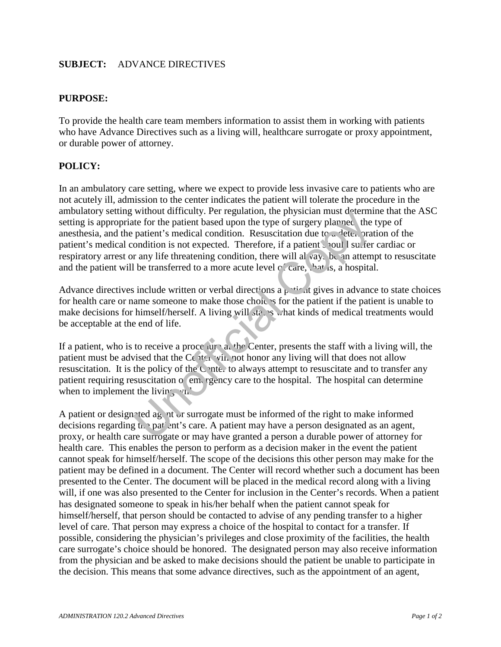## **SUBJECT:** ADVANCE DIRECTIVES

## **PURPOSE:**

To provide the health care team members information to assist them in working with patients who have Advance Directives such as a living will, healthcare surrogate or proxy appointment, or durable power of attorney.

## **POLICY:**

In an ambulatory care setting, where we expect to provide less invasive care to patients who are not acutely ill, admission to the center indicates the patient will tolerate the procedure in the ambulatory setting without difficulty. Per regulation, the physician must determine that the ASC setting is appropriate for the patient based upon the type of surgery planned, the type of anesthesia, and the patient's medical condition. Resuscitation due to a deterioration of the patient's medical condition is not expected. Therefore, if a patient should suffer cardiac or respiratory arrest or any life threatening condition, there will always be an attempt to resuscitate and the patient will be transferred to a more acute level of care, that is, a hospital. winout anticulty. Fer regulation, the physicial must determ<br>pair to the patient based upon the type of surgery planned, the<br>paire of the pair pair pair and the type of surgery planned, the<br>pair and the transferred to a mor

Advance directives include written or verbal directions a patient gives in advance to state choices for health care or name someone to make those choices for the patient if the patient is unable to make decisions for himself/herself. A living will states what kinds of medical treatments would be acceptable at the end of life.

If a patient, who is to receive a procedure at the Center, presents the staff with a living will, the patient must be advised that the Center will not honor any living will that does not allow resuscitation. It is the policy of the Center to always attempt to resuscitate and to transfer any patient requiring resuscitation or emergency care to the hospital. The hospital can determine when to implement the living will.

A patient or designated agent or surrogate must be informed of the right to make informed decisions regarding the patient's care. A patient may have a person designated as an agent, proxy, or health care surrogate or may have granted a person a durable power of attorney for health care. This enables the person to perform as a decision maker in the event the patient cannot speak for himself/herself. The scope of the decisions this other person may make for the patient may be defined in a document. The Center will record whether such a document has been presented to the Center. The document will be placed in the medical record along with a living will, if one was also presented to the Center for inclusion in the Center's records. When a patient has designated someone to speak in his/her behalf when the patient cannot speak for himself/herself, that person should be contacted to advise of any pending transfer to a higher level of care. That person may express a choice of the hospital to contact for a transfer. If possible, considering the physician's privileges and close proximity of the facilities, the health care surrogate's choice should be honored. The designated person may also receive information from the physician and be asked to make decisions should the patient be unable to participate in the decision. This means that some advance directives, such as the appointment of an agent,